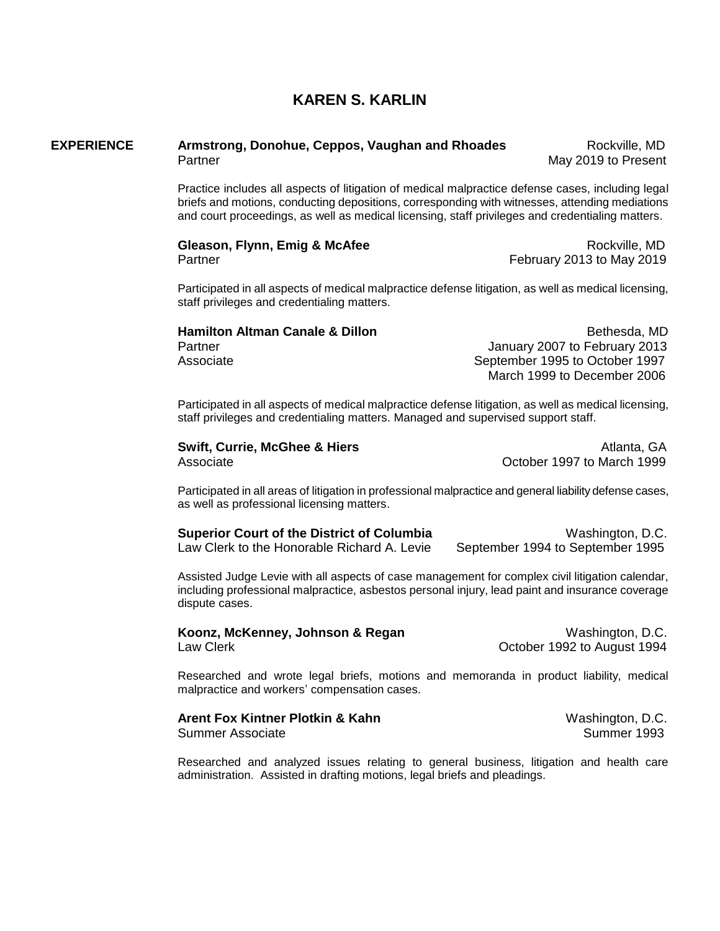### **KAREN S. KARLIN**

#### **EXPERIENCE Armstrong, Donohue, Ceppos, Vaughan and Rhoades** Rockville, MD Partner May 2019 to Present

Practice includes all aspects of litigation of medical malpractice defense cases, including legal briefs and motions, conducting depositions, corresponding with witnesses, attending mediations and court proceedings, as well as medical licensing, staff privileges and credentialing matters.

#### **Gleason, Flynn, Emig & McAfee Communicate Communicate Communicate Communicate Communicate Communicate Communicate Communicate Communicate Communicate Communicate Communicate Communicate Communicate Communicate Communic** Partner February 2013 to May 2019

Participated in all aspects of medical malpractice defense litigation, as well as medical licensing, staff privileges and credentialing matters.

## **Hamilton Altman Canale & Dillon**  Bethesda, MD

Partner **Partner Accord Partner Accord Partner** January 2007 to February 2013 Associate September 1995 to October 1997 March 1999 to December 2006

Participated in all aspects of medical malpractice defense litigation, as well as medical licensing, staff privileges and credentialing matters. Managed and supervised support staff.

| <b>Swift, Currie, McGhee &amp; Hiers</b> | Atlanta, GA                |
|------------------------------------------|----------------------------|
| Associate                                | October 1997 to March 1999 |

Participated in all areas of litigation in professional malpractice and general liability defense cases, as well as professional licensing matters.

| <b>Superior Court of the District of Columbia</b> | Washington, D.C.                 |
|---------------------------------------------------|----------------------------------|
| Law Clerk to the Honorable Richard A. Levie       | September 1994 to September 1995 |

Assisted Judge Levie with all aspects of case management for complex civil litigation calendar, including professional malpractice, asbestos personal injury, lead paint and insurance coverage dispute cases.

|           | Koonz, McKenney, Johnson & Regan |  |  |
|-----------|----------------------------------|--|--|
| Law Clerk |                                  |  |  |

Washington, D.C. October 1992 to August 1994

Researched and wrote legal briefs, motions and memoranda in product liability, medical malpractice and workers' compensation cases.

## **Arent Fox Kintner Plotkin & Kahn**  Washington, D.C.

Summer Associate Summer 1993

Researched and analyzed issues relating to general business, litigation and health care administration. Assisted in drafting motions, legal briefs and pleadings.